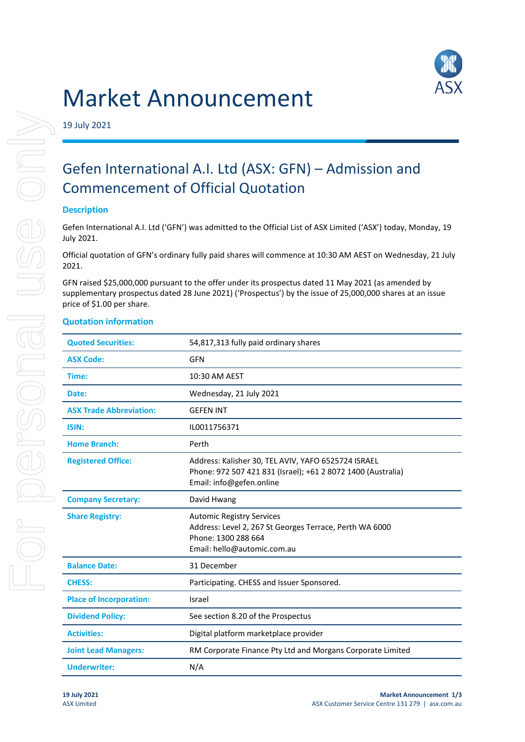# Market Announcement



19 July 2021

# Gefen International A.I. Ltd (ASX: GFN) – Admission and Commencement of Official Quotation

## **Description**

Gefen International A.I. Ltd ('GFN') was admitted to the Official List of ASX Limited ('ASX') today, Monday, 19 July 2021.

Official quotation of GFN's ordinary fully paid shares will commence at 10:30 AM AEST on Wednesday, 21 July 2021.

GFN raised \$25,000,000 pursuant to the offer under its prospectus dated 11 May 2021 (as amended by supplementary prospectus dated 28 June 2021) ('Prospectus') by the issue of 25,000,000 shares at an issue price of \$1.00 per share.

## **Quotation information**

| <b>Quoted Securities:</b>      | 54,817,313 fully paid ordinary shares                                                                                                             |
|--------------------------------|---------------------------------------------------------------------------------------------------------------------------------------------------|
| <b>ASX Code:</b>               | <b>GFN</b>                                                                                                                                        |
| Time:                          | 10:30 AM AEST                                                                                                                                     |
| Date:                          | Wednesday, 21 July 2021                                                                                                                           |
| <b>ASX Trade Abbreviation:</b> | <b>GEFEN INT</b>                                                                                                                                  |
| ISIN:                          | IL0011756371                                                                                                                                      |
| <b>Home Branch:</b>            | Perth                                                                                                                                             |
| <b>Registered Office:</b>      | Address: Kalisher 30, TEL AVIV, YAFO 6525724 ISRAEL<br>Phone: 972 507 421 831 (Israel); +61 2 8072 1400 (Australia)<br>Email: info@gefen.online   |
| <b>Company Secretary:</b>      | David Hwang                                                                                                                                       |
| <b>Share Registry:</b>         | <b>Automic Registry Services</b><br>Address: Level 2, 267 St Georges Terrace, Perth WA 6000<br>Phone: 1300 288 664<br>Email: hello@automic.com.au |
| <b>Balance Date:</b>           | 31 December                                                                                                                                       |
| <b>CHESS:</b>                  | Participating. CHESS and Issuer Sponsored.                                                                                                        |
| <b>Place of Incorporation:</b> | Israel                                                                                                                                            |
| <b>Dividend Policy:</b>        | See section 8.20 of the Prospectus                                                                                                                |
| <b>Activities:</b>             | Digital platform marketplace provider                                                                                                             |
| <b>Joint Lead Managers:</b>    | RM Corporate Finance Pty Ltd and Morgans Corporate Limited                                                                                        |
| <b>Underwriter:</b>            | N/A                                                                                                                                               |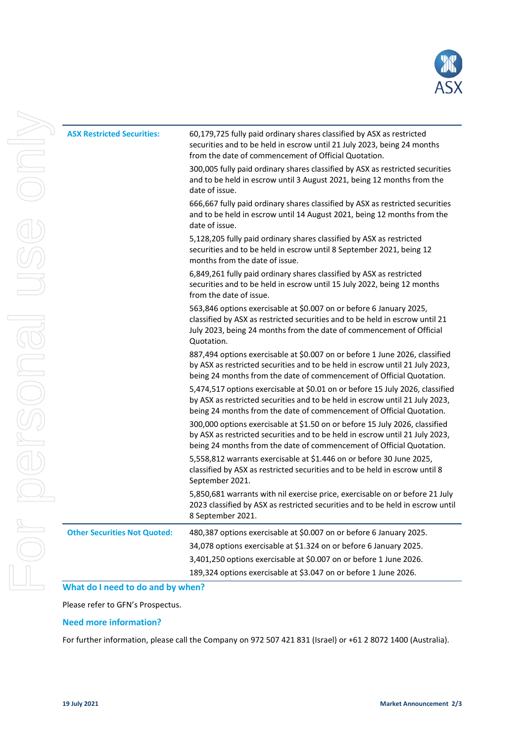

| <b>ASX Restricted Securities:</b>   | 60,179,725 fully paid ordinary shares classified by ASX as restricted<br>securities and to be held in escrow until 21 July 2023, being 24 months<br>from the date of commencement of Official Quotation.                                  |
|-------------------------------------|-------------------------------------------------------------------------------------------------------------------------------------------------------------------------------------------------------------------------------------------|
|                                     | 300,005 fully paid ordinary shares classified by ASX as restricted securities<br>and to be held in escrow until 3 August 2021, being 12 months from the<br>date of issue.                                                                 |
|                                     | 666,667 fully paid ordinary shares classified by ASX as restricted securities<br>and to be held in escrow until 14 August 2021, being 12 months from the<br>date of issue.                                                                |
|                                     | 5,128,205 fully paid ordinary shares classified by ASX as restricted<br>securities and to be held in escrow until 8 September 2021, being 12<br>months from the date of issue.                                                            |
|                                     | 6,849,261 fully paid ordinary shares classified by ASX as restricted<br>securities and to be held in escrow until 15 July 2022, being 12 months<br>from the date of issue.                                                                |
|                                     | 563,846 options exercisable at \$0.007 on or before 6 January 2025,<br>classified by ASX as restricted securities and to be held in escrow until 21<br>July 2023, being 24 months from the date of commencement of Official<br>Quotation. |
|                                     | 887,494 options exercisable at \$0.007 on or before 1 June 2026, classified<br>by ASX as restricted securities and to be held in escrow until 21 July 2023,<br>being 24 months from the date of commencement of Official Quotation.       |
|                                     | 5,474,517 options exercisable at \$0.01 on or before 15 July 2026, classified<br>by ASX as restricted securities and to be held in escrow until 21 July 2023,<br>being 24 months from the date of commencement of Official Quotation.     |
|                                     | 300,000 options exercisable at \$1.50 on or before 15 July 2026, classified<br>by ASX as restricted securities and to be held in escrow until 21 July 2023,<br>being 24 months from the date of commencement of Official Quotation.       |
|                                     | 5,558,812 warrants exercisable at \$1.446 on or before 30 June 2025,<br>classified by ASX as restricted securities and to be held in escrow until 8<br>September 2021.                                                                    |
|                                     | 5,850,681 warrants with nil exercise price, exercisable on or before 21 July<br>2023 classified by ASX as restricted securities and to be held in escrow until<br>8 September 2021.                                                       |
| <b>Other Securities Not Quoted:</b> | 480,387 options exercisable at \$0.007 on or before 6 January 2025.                                                                                                                                                                       |
|                                     | 34,078 options exercisable at \$1.324 on or before 6 January 2025.                                                                                                                                                                        |
|                                     | 3,401,250 options exercisable at \$0.007 on or before 1 June 2026.                                                                                                                                                                        |
|                                     | 189,324 options exercisable at \$3.047 on or before 1 June 2026.                                                                                                                                                                          |

# Please refer to GFN's Prospectus.

#### **Need more information?**

For further information, please call the Company on 972 507 421 831 (Israel) or +61 2 8072 1400 (Australia).